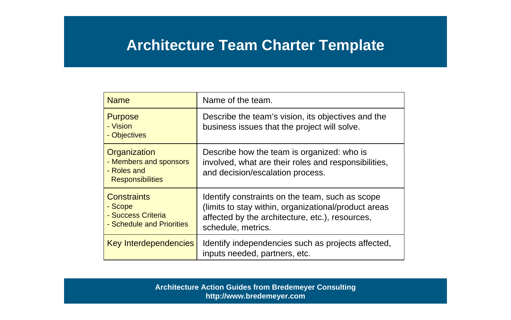# **Architecture Team Charter Template**

| <b>Name</b>                                                                      | Name of the team.                                                                                                                                                                |
|----------------------------------------------------------------------------------|----------------------------------------------------------------------------------------------------------------------------------------------------------------------------------|
| <b>Purpose</b><br>- Vision<br>- Objectives                                       | Describe the team's vision, its objectives and the<br>business issues that the project will solve.                                                                               |
| Organization<br>- Members and sponsors<br>- Roles and<br><b>Responsibilities</b> | Describe how the team is organized: who is<br>involved, what are their roles and responsibilities,<br>and decision/escalation process.                                           |
| <b>Constraints</b><br>- Scope<br>- Success Criteria<br>- Schedule and Priorities | Identify constraints on the team, such as scope<br>(limits to stay within, organizational/product areas<br>affected by the architecture, etc.), resources,<br>schedule, metrics. |
| Key Interdependencies                                                            | Identify independencies such as projects affected,<br>inputs needed, partners, etc.                                                                                              |